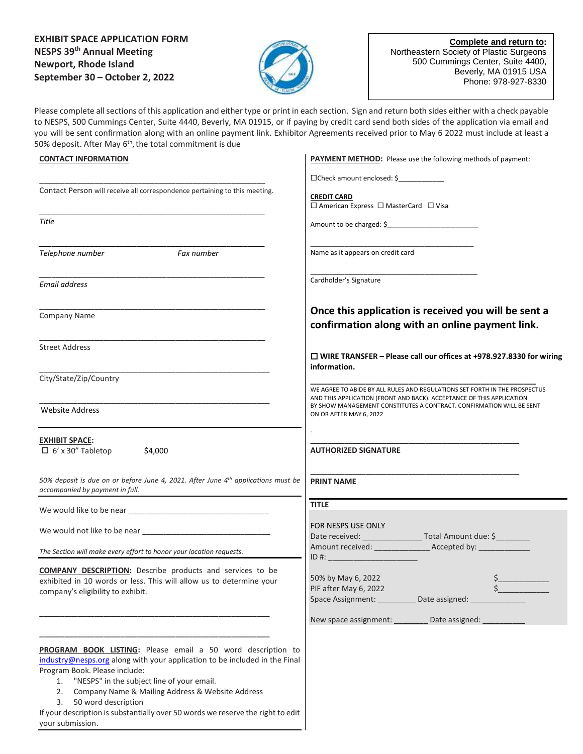## **EXHIBIT SPACE APPLICATION FORM NESPS 39th Annual Meeting Newport, Rhode Island September 30 – October 2, 2022**

\_\_\_\_\_\_\_\_\_\_\_\_\_\_\_\_\_\_\_\_\_\_\_\_\_\_\_\_\_\_\_\_\_\_\_\_\_\_\_\_\_\_\_\_\_\_\_\_\_\_\_\_\_ Contact Person will receive all correspondence pertaining to this meeting.

*\_\_\_\_\_\_\_\_\_\_\_\_\_\_\_\_\_\_\_\_\_\_\_\_\_\_\_\_\_\_\_\_\_\_\_\_\_\_\_\_\_\_\_\_\_\_\_\_\_\_\_\_\_*

*\_\_\_\_\_\_\_\_\_\_\_\_\_\_\_\_\_\_\_\_\_\_\_\_\_\_\_\_\_\_\_\_\_\_\_\_\_\_\_\_\_\_\_\_\_\_\_\_\_\_\_\_\_*

*\_\_\_\_\_\_\_\_\_\_\_\_\_\_\_\_\_\_\_\_\_\_\_\_\_\_\_\_\_\_\_\_\_\_\_\_\_\_\_\_\_\_\_\_\_\_\_\_\_\_\_\_\_*

\_\_\_\_\_\_\_\_\_\_\_\_\_\_\_\_\_\_\_\_\_\_\_\_\_\_\_\_\_\_\_\_\_\_\_\_\_\_\_\_\_\_\_\_\_\_\_\_\_\_\_\_\_

\_\_\_\_\_\_\_\_\_\_\_\_\_\_\_\_\_\_\_\_\_\_\_\_\_\_\_\_\_\_\_\_\_\_\_\_\_\_\_\_\_\_\_\_\_\_\_\_\_\_\_\_\_

\_\_\_\_\_\_\_\_\_\_\_\_\_\_\_\_\_\_\_\_\_\_\_\_\_\_\_\_\_\_\_\_\_\_\_\_\_\_\_\_\_\_\_\_\_\_\_\_\_\_\_\_\_\_

\_\_\_\_\_\_\_\_\_\_\_\_\_\_\_\_\_\_\_\_\_\_\_\_\_\_\_\_\_\_\_\_\_\_\_\_\_\_\_\_\_\_\_\_\_\_\_\_\_\_\_\_\_\_

*50% deposit is due on or before June 4, 2021. After June 4 th applications must be* 

*Telephone number Fax number*



**Complete and return to:**  Northeastern Society of Plastic Surgeons 500 Cummings Center, Suite 4400, Beverly, MA 01915 USA Phone: 978-927-8330

Please complete all sections of this application and either type or print in each section. Sign and return both sides either with a check payable to NESPS, 500 Cummings Center, Suite 4440, Beverly, MA 01915, or if paying by credit card send both sides of the application via email and you will be sent confirmation along with an online payment link. Exhibitor Agreements received prior to May 6 2022 must include at least a 50% deposit. After May 6<sup>th</sup>, the total commitment is due

## **CONTACT INFORMATION**

*Title*

*Email address*

Company Name

Street Address

City/State/Zip/Country

 $\Box$  6' x 30" Tabletop \$4,000

*accompanied by payment in full.*

We would like to be near

We would not like to be near

company's eligibility to exhibit.

Website Address

**EXHIBIT SPACE:** 

| <b>PAYMENT METHOD:</b> Please use the following methods of payment: |  |
|---------------------------------------------------------------------|--|
|                                                                     |  |

Check amount enclosed: \$\_\_\_\_\_\_\_\_\_\_\_\_

**CREDIT CARD**

 $\square$  American Express  $\square$  MasterCard  $\square$  Visa

\_\_\_\_\_\_\_\_\_\_\_\_\_\_\_\_\_\_\_\_\_\_\_\_\_\_\_\_\_\_\_\_\_\_\_\_\_\_\_\_\_\_\_\_

Amount to be charged: \$\_\_\_\_\_\_\_\_\_\_\_\_\_\_\_\_\_\_\_\_\_\_\_\_

\_\_\_\_\_\_\_\_\_\_\_\_\_\_\_\_\_\_\_\_\_\_\_\_\_\_\_\_\_\_\_\_\_\_\_\_\_\_\_\_\_\_\_ Name as it appears on credit card

Cardholder's Signature

**Once this application is received you will be sent a confirmation along with an online payment link.** 

 **WIRE TRANSFER – Please call our offices at +978.927.8330 for wiring information.**

**\_\_\_\_\_\_\_\_\_\_\_\_\_\_\_\_\_\_\_\_\_\_\_\_\_\_\_\_\_\_\_\_\_\_\_\_\_\_\_\_\_\_\_\_\_\_\_\_\_\_\_\_\_** WE AGREE TO ABIDE BY ALL RULES AND REGULATIONS SET FORTH IN THE PROSPECTUS AND THIS APPLICATION (FRONT AND BACK). ACCEPTANCE OF THIS APPLICATION BY SHOW MANAGEMENT CONSTITUTES A CONTRACT. CONFIRMATION WILL BE SENT ON OR AFTER MAY 6, 2022

**\_\_\_\_\_\_\_\_\_\_\_\_\_\_\_\_\_\_\_\_\_\_\_\_\_\_\_\_\_\_\_\_\_\_\_\_\_\_\_\_\_\_\_\_\_\_\_\_\_ AUTHORIZED SIGNATURE**

**\_\_\_\_\_\_\_\_\_\_\_\_\_\_\_\_\_\_\_\_\_\_\_\_\_\_\_\_\_\_\_\_\_\_\_\_\_\_\_\_\_\_\_\_\_\_\_\_\_ PRINT NAME**

.

| <b>TITLE</b>                                                                    |                                     |
|---------------------------------------------------------------------------------|-------------------------------------|
| <b>FOR NESPS USE ONLY</b><br>$ID \#:$                                           | Date received: Total Amount due: \$ |
| 50% by May 6, 2022<br>PIF after May 6, 2022<br>Space Assignment: Date assigned: |                                     |
| New space assignment: Date assigned:                                            |                                     |

**PROGRAM BOOK LISTING:** Please email a 50 word description to [industry@nesps.org](mailto:industry@nesps.org) along with your application to be included in the Final Program Book. Please include:

1. "NESPS" in the subject line of your email.

*The Section will make every effort to honor your location requests.*

**COMPANY DESCRIPTION:** Describe products and services to be exhibited in 10 words or less. This will allow us to determine your

**\_\_\_\_\_\_\_\_\_\_\_\_\_\_\_\_\_\_\_\_\_\_\_\_\_\_\_\_\_\_\_\_\_\_\_\_\_\_\_\_\_\_\_\_\_\_\_\_\_\_\_\_\_\_**

**\_\_\_\_\_\_\_\_\_\_\_\_\_\_\_\_\_\_\_\_\_\_\_\_\_\_\_\_\_\_\_\_\_\_\_\_\_\_\_\_\_\_\_\_\_\_\_\_\_\_\_\_\_\_**

- 2. Company Name & Mailing Address & Website Address
- 3. 50 word description

If your description is substantially over 50 words we reserve the right to edit your submission.